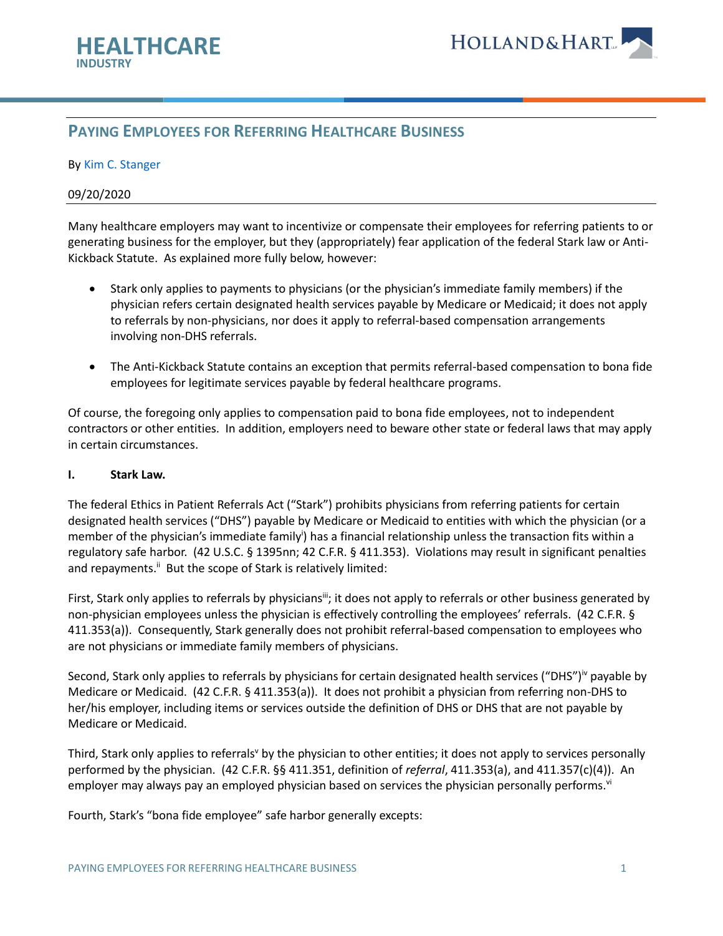

# **PAYING EMPLOYEES FOR REFERRING HEALTHCARE BUSINESS**

#### By [Kim C. Stanger](https://www.hollandhart.com/kcstanger)

#### 09/20/2020

Many healthcare employers may want to incentivize or compensate their employees for referring patients to or generating business for the employer, but they (appropriately) fear application of the federal Stark law or Anti-Kickback Statute. As explained more fully below, however:

- Stark only applies to payments to physicians (or the physician's immediate family members) if the physician refers certain designated health services payable by Medicare or Medicaid; it does not apply to referrals by non-physicians, nor does it apply to referral-based compensation arrangements involving non-DHS referrals.
- The Anti-Kickback Statute contains an exception that permits referral-based compensation to bona fide employees for legitimate services payable by federal healthcare programs.

Of course, the foregoing only applies to compensation paid to bona fide employees, not to independent contractors or other entities. In addition, employers need to beware other state or federal laws that may apply in certain circumstances.

#### **I. Stark Law.**

The federal Ethics in Patient Referrals Act ("Stark") prohibits physicians from referring patients for certain designated health services ("DHS") payable by Medicare or Medicaid to entities with which the physician (or a member of the physician's immediate family<sup>i</sup>) has a financial relationship unless the transaction fits within a regulatory safe harbor. (42 U.S.C. § 1395nn; 42 C.F.R. § 411.353). Violations may result in significant penalties and repayments.<sup>ii</sup> But the scope of Stark is relatively limited:

First, Stark only applies to referrals by physicians<sup>ii</sup>; it does not apply to referrals or other business generated by non-physician employees unless the physician is effectively controlling the employees' referrals. (42 C.F.R. § 411.353(a)). Consequently, Stark generally does not prohibit referral-based compensation to employees who are not physicians or immediate family members of physicians.

Second, Stark only applies to referrals by physicians for certain designated health services ("DHS")<sup>iv</sup> payable by Medicare or Medicaid. (42 C.F.R. § 411.353(a)). It does not prohibit a physician from referring non-DHS to her/his employer, including items or services outside the definition of DHS or DHS that are not payable by Medicare or Medicaid.

Third, Stark only applies to referrals<sup>y</sup> by the physician to other entities; it does not apply to services personally performed by the physician. (42 C.F.R. §§ 411.351, definition of *referral*, 411.353(a), and 411.357(c)(4)). An employer may always pay an employed physician based on services the physician personally performs.<sup>vi</sup>

Fourth, Stark's "bona fide employee" safe harbor generally excepts: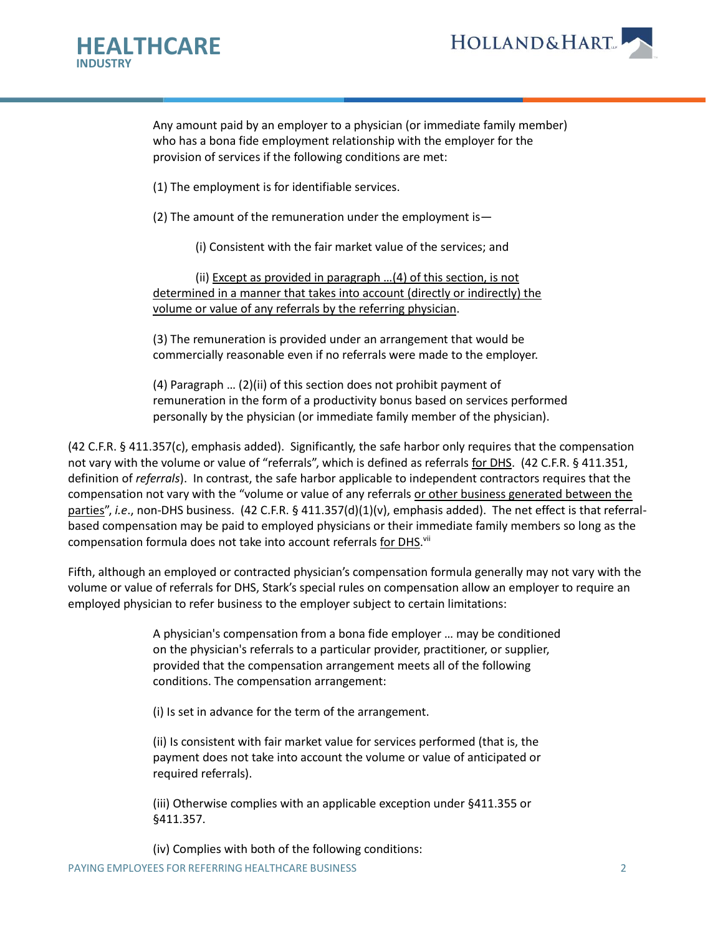



Any amount paid by an employer to a physician (or immediate family member) who has a bona fide employment relationship with the employer for the provision of services if the following conditions are met:

(1) The employment is for identifiable services.

(2) The amount of the remuneration under the employment is—

(i) Consistent with the fair market value of the services; and

(ii) Except as provided in paragraph …(4) of this section, is not determined in a manner that takes into account (directly or indirectly) the volume or value of any referrals by the referring physician.

(3) The remuneration is provided under an arrangement that would be commercially reasonable even if no referrals were made to the employer.

(4) Paragraph … (2)(ii) of this section does not prohibit payment of remuneration in the form of a productivity bonus based on services performed personally by the physician (or immediate family member of the physician).

(42 C.F.R. § 411.357(c), emphasis added). Significantly, the safe harbor only requires that the compensation not vary with the volume or value of "referrals", which is defined as referrals for DHS. (42 C.F.R. § 411.351, definition of *referrals*). In contrast, the safe harbor applicable to independent contractors requires that the compensation not vary with the "volume or value of any referrals or other business generated between the parties", *i.e.*, non-DHS business. (42 C.F.R. § 411.357(d)(1)(v), emphasis added). The net effect is that referralbased compensation may be paid to employed physicians or their immediate family members so long as the compensation formula does not take into account referrals for DHS.<sup>vii</sup>

Fifth, although an employed or contracted physician's compensation formula generally may not vary with the volume or value of referrals for DHS, Stark's special rules on compensation allow an employer to require an employed physician to refer business to the employer subject to certain limitations:

> A physician's compensation from a bona fide employer … may be conditioned on the physician's referrals to a particular provider, practitioner, or supplier, provided that the compensation arrangement meets all of the following conditions. The compensation arrangement:

(i) Is set in advance for the term of the arrangement.

(ii) Is consistent with fair market value for services performed (that is, the payment does not take into account the volume or value of anticipated or required referrals).

(iii) Otherwise complies with an applicable exception under §411.355 or §411.357.

PAYING EMPLOYEES FOR REFERRING HEALTHCARE BUSINESS 2 (iv) Complies with both of the following conditions: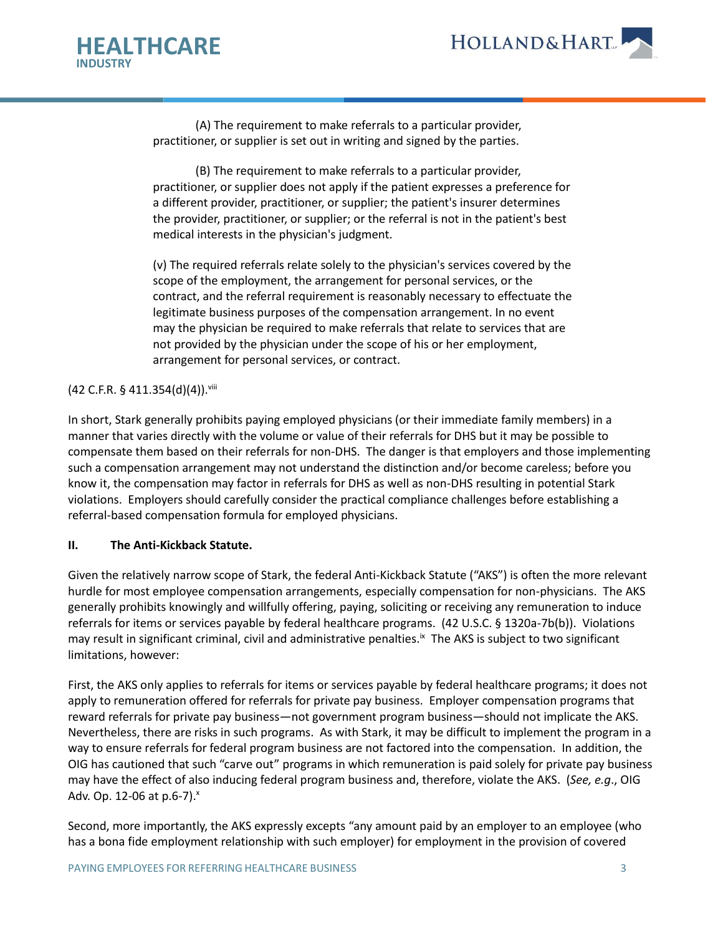



(A) The requirement to make referrals to a particular provider, practitioner, or supplier is set out in writing and signed by the parties.

(B) The requirement to make referrals to a particular provider, practitioner, or supplier does not apply if the patient expresses a preference for a different provider, practitioner, or supplier; the patient's insurer determines the provider, practitioner, or supplier; or the referral is not in the patient's best medical interests in the physician's judgment.

(v) The required referrals relate solely to the physician's services covered by the scope of the employment, the arrangement for personal services, or the contract, and the referral requirement is reasonably necessary to effectuate the legitimate business purposes of the compensation arrangement. In no event may the physician be required to make referrals that relate to services that are not provided by the physician under the scope of his or her employment, arrangement for personal services, or contract.

### (42 C.F.R. § 411.354(d)(4)).viii

In short, Stark generally prohibits paying employed physicians (or their immediate family members) in a manner that varies directly with the volume or value of their referrals for DHS but it may be possible to compensate them based on their referrals for non-DHS. The danger is that employers and those implementing such a compensation arrangement may not understand the distinction and/or become careless; before you know it, the compensation may factor in referrals for DHS as well as non-DHS resulting in potential Stark violations. Employers should carefully consider the practical compliance challenges before establishing a referral-based compensation formula for employed physicians.

### **II. The Anti-Kickback Statute.**

Given the relatively narrow scope of Stark, the federal Anti-Kickback Statute ("AKS") is often the more relevant hurdle for most employee compensation arrangements, especially compensation for non-physicians. The AKS generally prohibits knowingly and willfully offering, paying, soliciting or receiving any remuneration to induce referrals for items or services payable by federal healthcare programs. (42 U.S.C. § 1320a-7b(b)). Violations may result in significant criminal, civil and administrative penalties.<sup>ix</sup> The AKS is subject to two significant limitations, however:

First, the AKS only applies to referrals for items or services payable by federal healthcare programs; it does not apply to remuneration offered for referrals for private pay business. Employer compensation programs that reward referrals for private pay business—not government program business—should not implicate the AKS. Nevertheless, there are risks in such programs. As with Stark, it may be difficult to implement the program in a way to ensure referrals for federal program business are not factored into the compensation. In addition, the OIG has cautioned that such "carve out" programs in which remuneration is paid solely for private pay business may have the effect of also inducing federal program business and, therefore, violate the AKS. (*See, e.g*., OIG Adv. Op. 12-06 at  $p.6-7$ ). $^{x}$ 

Second, more importantly, the AKS expressly excepts "any amount paid by an employer to an employee (who has a bona fide employment relationship with such employer) for employment in the provision of covered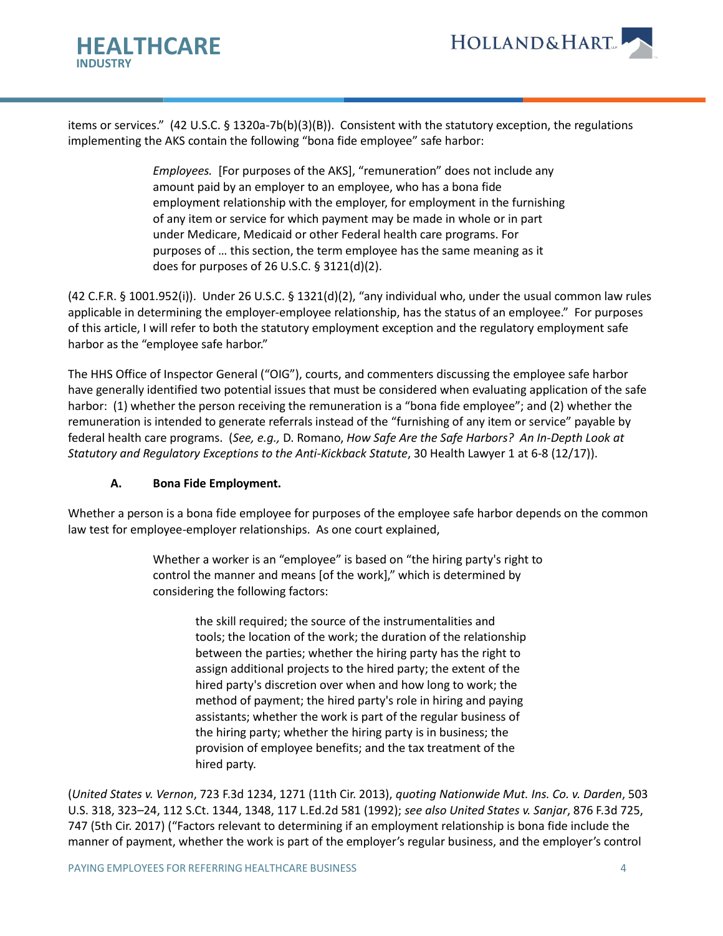



items or services." (42 U.S.C. § 1320a-7b(b)(3)(B)). Consistent with the statutory exception, the regulations implementing the AKS contain the following "bona fide employee" safe harbor:

> *Employees.* [For purposes of the AKS], "remuneration" does not include any amount paid by an employer to an employee, who has a bona fide employment relationship with the employer, for employment in the furnishing of any item or service for which payment may be made in whole or in part under Medicare, Medicaid or other Federal health care programs. For purposes of … this section, the term employee has the same meaning as it does for purposes of 26 U.S.C. § 3121(d)(2).

(42 C.F.R. § 1001.952(i)). Under 26 U.S.C. § 1321(d)(2), "any individual who, under the usual common law rules applicable in determining the employer-employee relationship, has the status of an employee." For purposes of this article, I will refer to both the statutory employment exception and the regulatory employment safe harbor as the "employee safe harbor."

The HHS Office of Inspector General ("OIG"), courts, and commenters discussing the employee safe harbor have generally identified two potential issues that must be considered when evaluating application of the safe harbor: (1) whether the person receiving the remuneration is a "bona fide employee"; and (2) whether the remuneration is intended to generate referrals instead of the "furnishing of any item or service" payable by federal health care programs. (*See, e.g.,* D. Romano, *How Safe Are the Safe Harbors? An In-Depth Look at Statutory and Regulatory Exceptions to the Anti-Kickback Statute*, 30 Health Lawyer 1 at 6-8 (12/17)).

### **A. Bona Fide Employment.**

Whether a person is a bona fide employee for purposes of the employee safe harbor depends on the common law test for employee-employer relationships. As one court explained,

> Whether a worker is an "employee" is based on "the hiring party's right to control the manner and means [of the work]," which is determined by considering the following factors:

> > the skill required; the source of the instrumentalities and tools; the location of the work; the duration of the relationship between the parties; whether the hiring party has the right to assign additional projects to the hired party; the extent of the hired party's discretion over when and how long to work; the method of payment; the hired party's role in hiring and paying assistants; whether the work is part of the regular business of the hiring party; whether the hiring party is in business; the provision of employee benefits; and the tax treatment of the hired party.

(*United States v. Vernon*, 723 F.3d 1234, 1271 (11th Cir. 2013), *quoting Nationwide Mut. Ins. Co. v. Darden*, 503 U.S. 318, 323–24, 112 S.Ct. 1344, 1348, 117 L.Ed.2d 581 (1992); *see also United States v. Sanjar*, 876 F.3d 725, 747 (5th Cir. 2017) ("Factors relevant to determining if an employment relationship is bona fide include the manner of payment, whether the work is part of the employer's regular business, and the employer's control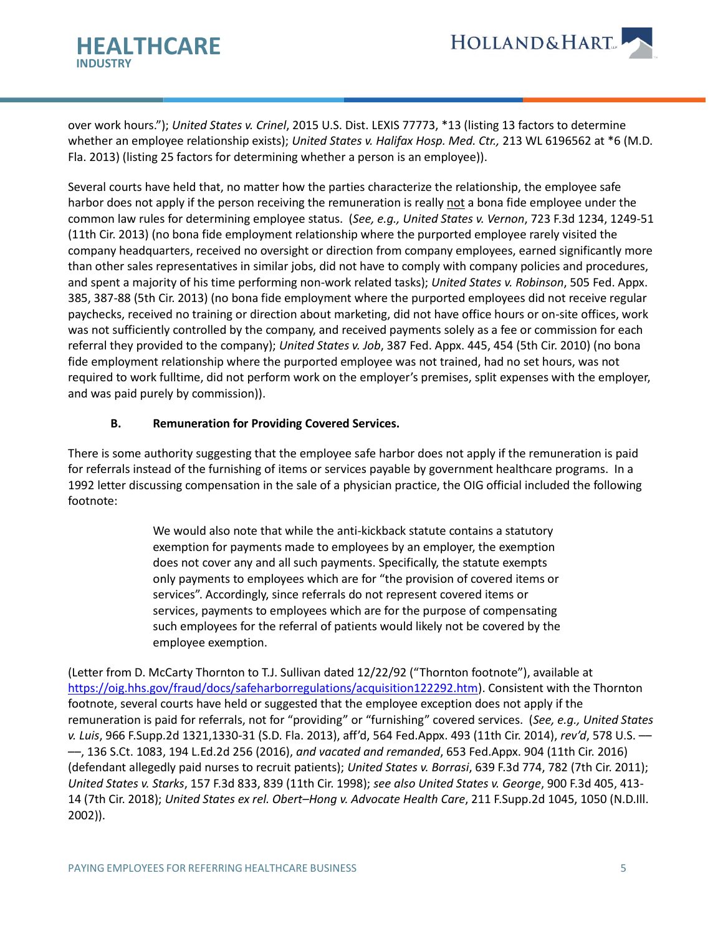

over work hours."); *United States v. Crinel*, 2015 U.S. Dist. LEXIS 77773, \*13 (listing 13 factors to determine whether an employee relationship exists); *United States v. Halifax Hosp. Med. Ctr.,* 213 WL 6196562 at \*6 (M.D. Fla. 2013) (listing 25 factors for determining whether a person is an employee)).

Several courts have held that, no matter how the parties characterize the relationship, the employee safe harbor does not apply if the person receiving the remuneration is really not a bona fide employee under the common law rules for determining employee status. (*See, e.g., United States v. Vernon*, 723 F.3d 1234, 1249-51 (11th Cir. 2013) (no bona fide employment relationship where the purported employee rarely visited the company headquarters, received no oversight or direction from company employees, earned significantly more than other sales representatives in similar jobs, did not have to comply with company policies and procedures, and spent a majority of his time performing non-work related tasks); *United States v. Robinson*, 505 Fed. Appx. 385, 387-88 (5th Cir. 2013) (no bona fide employment where the purported employees did not receive regular paychecks, received no training or direction about marketing, did not have office hours or on-site offices, work was not sufficiently controlled by the company, and received payments solely as a fee or commission for each referral they provided to the company); *United States v. Job*, 387 Fed. Appx. 445, 454 (5th Cir. 2010) (no bona fide employment relationship where the purported employee was not trained, had no set hours, was not required to work fulltime, did not perform work on the employer's premises, split expenses with the employer, and was paid purely by commission)).

### **B. Remuneration for Providing Covered Services.**

There is some authority suggesting that the employee safe harbor does not apply if the remuneration is paid for referrals instead of the furnishing of items or services payable by government healthcare programs. In a 1992 letter discussing compensation in the sale of a physician practice, the OIG official included the following footnote:

> We would also note that while the anti-kickback statute contains a statutory exemption for payments made to employees by an employer, the exemption does not cover any and all such payments. Specifically, the statute exempts only payments to employees which are for "the provision of covered items or services". Accordingly, since referrals do not represent covered items or services, payments to employees which are for the purpose of compensating such employees for the referral of patients would likely not be covered by the employee exemption.

(Letter from D. McCarty Thornton to T.J. Sullivan dated 12/22/92 ("Thornton footnote"), available at [https://oig.hhs.gov/fraud/docs/safeharborregulations/acquisition122292.htm\)](https://oig.hhs.gov/fraud/docs/safeharborregulations/acquisition122292.htm). Consistent with the Thornton footnote, several courts have held or suggested that the employee exception does not apply if the remuneration is paid for referrals, not for "providing" or "furnishing" covered services. (*See, e.g., United States v. Luis*, 966 F.Supp.2d 1321,1330-31 (S.D. Fla. 2013), aff'd, 564 Fed.Appx. 493 (11th Cir. 2014), *rev'd*, 578 U.S. –– ––, 136 S.Ct. 1083, 194 L.Ed.2d 256 (2016), *and vacated and remanded*, 653 Fed.Appx. 904 (11th Cir. 2016) (defendant allegedly paid nurses to recruit patients); *United States v. Borrasi*, 639 F.3d 774, 782 (7th Cir. 2011); *United States v. Starks*, 157 F.3d 833, 839 (11th Cir. 1998); *see also United States v. George*, 900 F.3d 405, 413- 14 (7th Cir. 2018); *United States ex rel. Obert–Hong v. Advocate Health Care*, 211 F.Supp.2d 1045, 1050 (N.D.Ill. 2002)).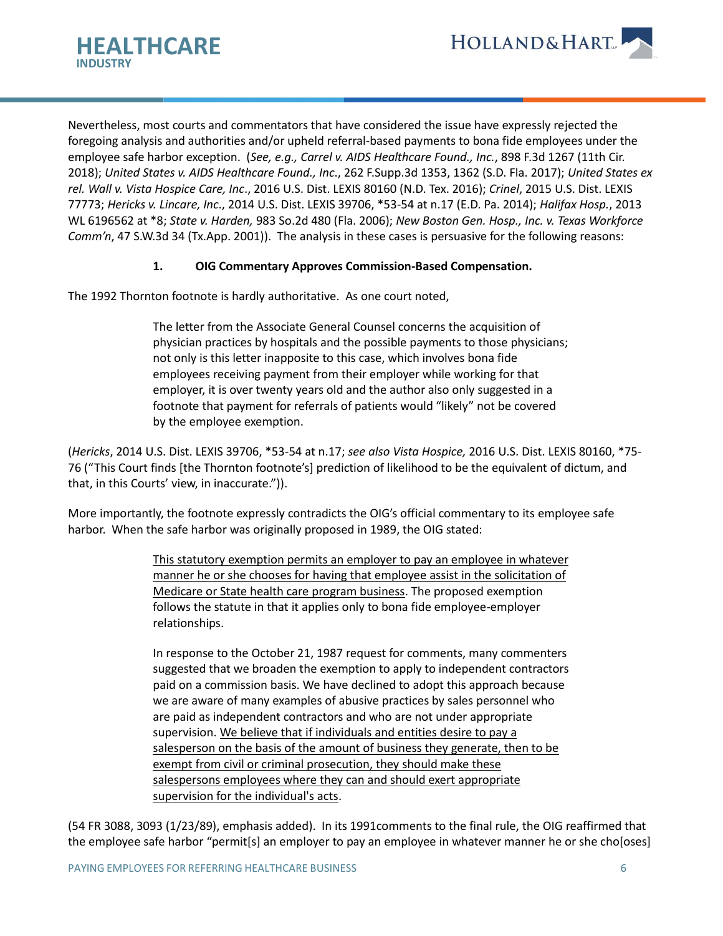



Nevertheless, most courts and commentators that have considered the issue have expressly rejected the foregoing analysis and authorities and/or upheld referral-based payments to bona fide employees under the employee safe harbor exception. (*See, e.g., Carrel v. AIDS Healthcare Found., Inc.*, 898 F.3d 1267 (11th Cir. 2018); *United States v. AIDS Healthcare Found., Inc*., 262 F.Supp.3d 1353, 1362 (S.D. Fla. 2017); *United States ex rel. Wall v. Vista Hospice Care, Inc*., 2016 U.S. Dist. LEXIS 80160 (N.D. Tex. 2016); *Crinel*, 2015 U.S. Dist. LEXIS 77773; *Hericks v. Lincare, Inc*., 2014 U.S. Dist. LEXIS 39706, \*53-54 at n.17 (E.D. Pa. 2014); *Halifax Hosp.*, 2013 WL 6196562 at \*8; *State v. Harden,* 983 So.2d 480 (Fla. 2006); *New Boston Gen. Hosp., Inc. v. Texas Workforce Comm'n*, 47 S.W.3d 34 (Tx.App. 2001)). The analysis in these cases is persuasive for the following reasons:

### **1. OIG Commentary Approves Commission-Based Compensation.**

The 1992 Thornton footnote is hardly authoritative. As one court noted,

The letter from the Associate General Counsel concerns the acquisition of physician practices by hospitals and the possible payments to those physicians; not only is this letter inapposite to this case, which involves bona fide employees receiving payment from their employer while working for that employer, it is over twenty years old and the author also only suggested in a footnote that payment for referrals of patients would "likely" not be covered by the employee exemption.

(*Hericks*, 2014 U.S. Dist. LEXIS 39706, \*53-54 at n.17; *see also Vista Hospice,* 2016 U.S. Dist. LEXIS 80160, \*75- 76 ("This Court finds [the Thornton footnote's] prediction of likelihood to be the equivalent of dictum, and that, in this Courts' view, in inaccurate.")).

More importantly, the footnote expressly contradicts the OIG's official commentary to its employee safe harbor. When the safe harbor was originally proposed in 1989, the OIG stated:

> This statutory exemption permits an employer to pay an employee in whatever manner he or she chooses for having that employee assist in the solicitation of Medicare or State health care program business. The proposed exemption follows the statute in that it applies only to bona fide employee-employer relationships.

> In response to the October 21, 1987 request for comments, many commenters suggested that we broaden the exemption to apply to independent contractors paid on a commission basis. We have declined to adopt this approach because we are aware of many examples of abusive practices by sales personnel who are paid as independent contractors and who are not under appropriate supervision. We believe that if individuals and entities desire to pay a salesperson on the basis of the amount of business they generate, then to be exempt from civil or criminal prosecution, they should make these salespersons employees where they can and should exert appropriate supervision for the individual's acts.

(54 FR 3088, 3093 (1/23/89), emphasis added). In its 1991comments to the final rule, the OIG reaffirmed that the employee safe harbor "permit[s] an employer to pay an employee in whatever manner he or she cho[oses]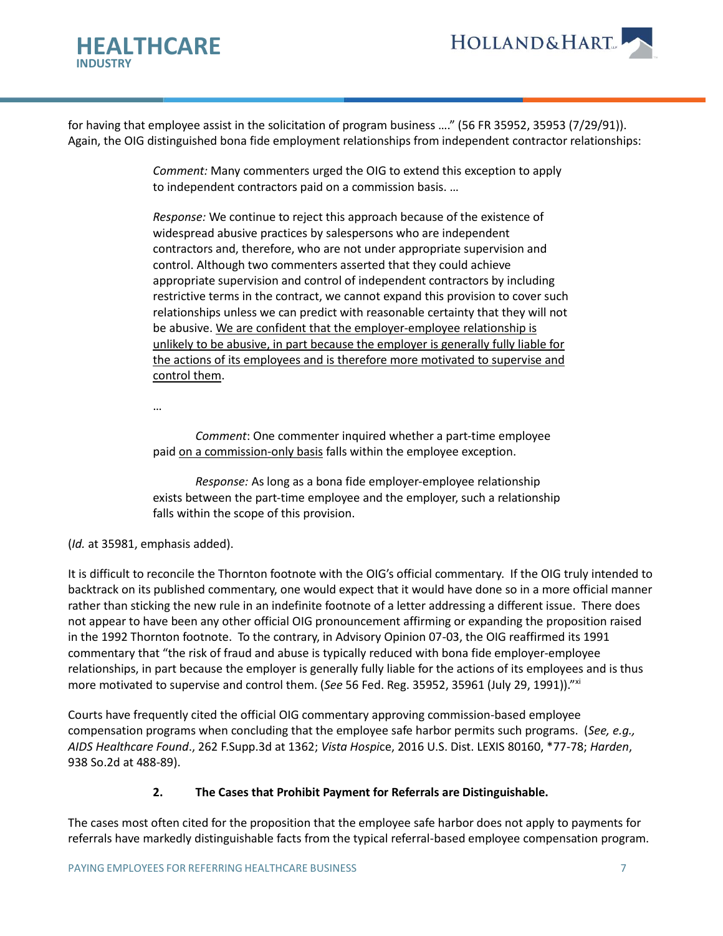



for having that employee assist in the solicitation of program business …." (56 FR 35952, 35953 (7/29/91)). Again, the OIG distinguished bona fide employment relationships from independent contractor relationships:

> *Comment:* Many commenters urged the OIG to extend this exception to apply to independent contractors paid on a commission basis. …

*Response:* We continue to reject this approach because of the existence of widespread abusive practices by salespersons who are independent contractors and, therefore, who are not under appropriate supervision and control. Although two commenters asserted that they could achieve appropriate supervision and control of independent contractors by including restrictive terms in the contract, we cannot expand this provision to cover such relationships unless we can predict with reasonable certainty that they will not be abusive. We are confident that the employer-employee relationship is unlikely to be abusive, in part because the employer is generally fully liable for the actions of its employees and is therefore more motivated to supervise and control them.

…

*Comment*: One commenter inquired whether a part-time employee paid on a commission-only basis falls within the employee exception.

*Response:* As long as a bona fide employer-employee relationship exists between the part-time employee and the employer, such a relationship falls within the scope of this provision.

(*Id.* at 35981, emphasis added).

It is difficult to reconcile the Thornton footnote with the OIG's official commentary. If the OIG truly intended to backtrack on its published commentary, one would expect that it would have done so in a more official manner rather than sticking the new rule in an indefinite footnote of a letter addressing a different issue. There does not appear to have been any other official OIG pronouncement affirming or expanding the proposition raised in the 1992 Thornton footnote. To the contrary, in Advisory Opinion 07-03, the OIG reaffirmed its 1991 commentary that "the risk of fraud and abuse is typically reduced with bona fide employer-employee relationships, in part because the employer is generally fully liable for the actions of its employees and is thus more motivated to supervise and control them. (*See* 56 Fed. Reg. 35952, 35961 (July 29, 1991))."xi

Courts have frequently cited the official OIG commentary approving commission-based employee compensation programs when concluding that the employee safe harbor permits such programs. (*See, e.g., AIDS Healthcare Found*., 262 F.Supp.3d at 1362; *Vista Hospi*ce, 2016 U.S. Dist. LEXIS 80160, \*77-78; *Harden*, 938 So.2d at 488-89).

# **2. The Cases that Prohibit Payment for Referrals are Distinguishable.**

The cases most often cited for the proposition that the employee safe harbor does not apply to payments for referrals have markedly distinguishable facts from the typical referral-based employee compensation program.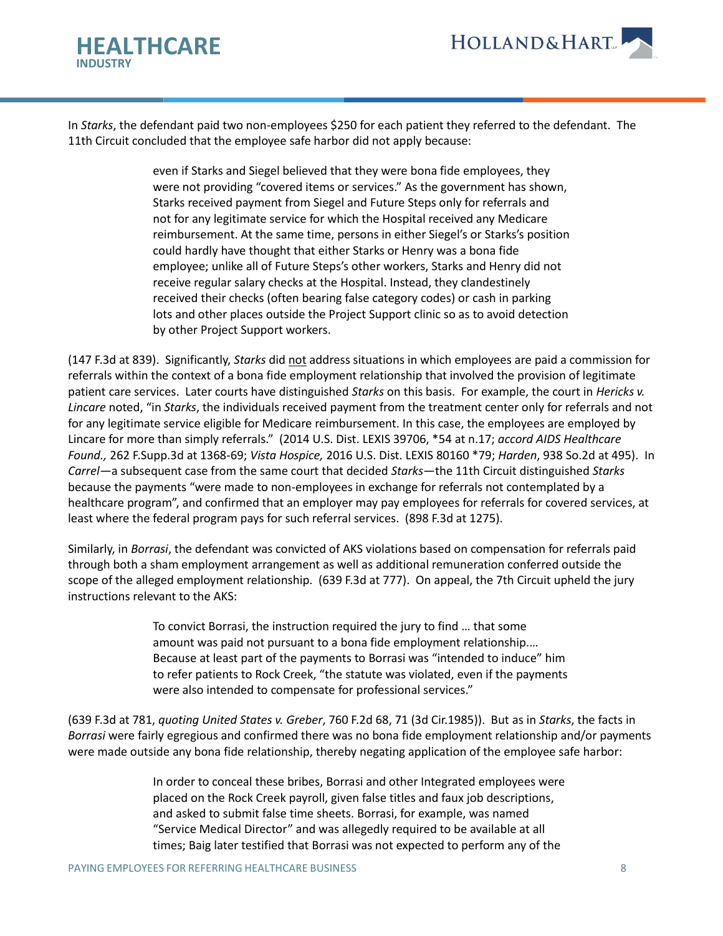

In *Starks*, the defendant paid two non-employees \$250 for each patient they referred to the defendant. The 11th Circuit concluded that the employee safe harbor did not apply because:

> even if Starks and Siegel believed that they were bona fide employees, they were not providing "covered items or services." As the government has shown, Starks received payment from Siegel and Future Steps only for referrals and not for any legitimate service for which the Hospital received any Medicare reimbursement. At the same time, persons in either Siegel's or Starks's position could hardly have thought that either Starks or Henry was a bona fide employee; unlike all of Future Steps's other workers, Starks and Henry did not receive regular salary checks at the Hospital. Instead, they clandestinely received their checks (often bearing false category codes) or cash in parking lots and other places outside the Project Support clinic so as to avoid detection by other Project Support workers.

(147 F.3d at 839). Significantly, *Starks* did not address situations in which employees are paid a commission for referrals within the context of a bona fide employment relationship that involved the provision of legitimate patient care services. Later courts have distinguished *Starks* on this basis. For example, the court in *Hericks v. Lincare* noted, "in *Starks*, the individuals received payment from the treatment center only for referrals and not for any legitimate service eligible for Medicare reimbursement. In this case, the employees are employed by Lincare for more than simply referrals." (2014 U.S. Dist. LEXIS 39706, \*54 at n.17; *accord AIDS Healthcare Found.,* 262 F.Supp.3d at 1368-69; *Vista Hospice,* 2016 U.S. Dist. LEXIS 80160 \*79; *Harden*, 938 So.2d at 495). In *Carrel—*a subsequent case from the same court that decided *Starks*—the 11th Circuit distinguished *Starks* because the payments "were made to non-employees in exchange for referrals not contemplated by a healthcare program", and confirmed that an employer may pay employees for referrals for covered services, at least where the federal program pays for such referral services. (898 F.3d at 1275).

Similarly, in *Borrasi*, the defendant was convicted of AKS violations based on compensation for referrals paid through both a sham employment arrangement as well as additional remuneration conferred outside the scope of the alleged employment relationship. (639 F.3d at 777). On appeal, the 7th Circuit upheld the jury instructions relevant to the AKS:

> To convict Borrasi, the instruction required the jury to find … that some amount was paid not pursuant to a bona fide employment relationship.… Because at least part of the payments to Borrasi was "intended to induce" him to refer patients to Rock Creek, "the statute was violated, even if the payments were also intended to compensate for professional services."

(639 F.3d at 781, *quoting United States v. Greber*, 760 F.2d 68, 71 (3d Cir.1985)). But as in *Starks*, the facts in *Borrasi* were fairly egregious and confirmed there was no bona fide employment relationship and/or payments were made outside any bona fide relationship, thereby negating application of the employee safe harbor:

> In order to conceal these bribes, Borrasi and other Integrated employees were placed on the Rock Creek payroll, given false titles and faux job descriptions, and asked to submit false time sheets. Borrasi, for example, was named "Service Medical Director" and was allegedly required to be available at all times; Baig later testified that Borrasi was not expected to perform any of the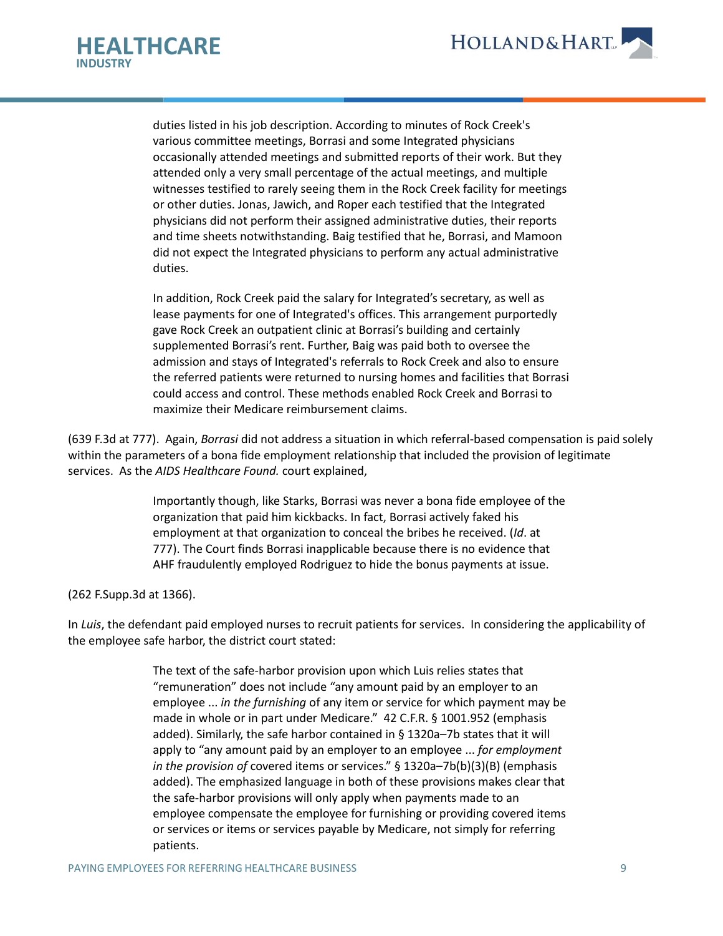



duties listed in his job description. According to minutes of Rock Creek's various committee meetings, Borrasi and some Integrated physicians occasionally attended meetings and submitted reports of their work. But they attended only a very small percentage of the actual meetings, and multiple witnesses testified to rarely seeing them in the Rock Creek facility for meetings or other duties. Jonas, Jawich, and Roper each testified that the Integrated physicians did not perform their assigned administrative duties, their reports and time sheets notwithstanding. Baig testified that he, Borrasi, and Mamoon did not expect the Integrated physicians to perform any actual administrative duties.

In addition, Rock Creek paid the salary for Integrated's secretary, as well as lease payments for one of Integrated's offices. This arrangement purportedly gave Rock Creek an outpatient clinic at Borrasi's building and certainly supplemented Borrasi's rent. Further, Baig was paid both to oversee the admission and stays of Integrated's referrals to Rock Creek and also to ensure the referred patients were returned to nursing homes and facilities that Borrasi could access and control. These methods enabled Rock Creek and Borrasi to maximize their Medicare reimbursement claims.

(639 F.3d at 777). Again, *Borrasi* did not address a situation in which referral-based compensation is paid solely within the parameters of a bona fide employment relationship that included the provision of legitimate services. As the *AIDS Healthcare Found.* court explained,

> Importantly though, like Starks, Borrasi was never a bona fide employee of the organization that paid him kickbacks. In fact, Borrasi actively faked his employment at that organization to conceal the bribes he received. (*Id*. at 777). The Court finds Borrasi inapplicable because there is no evidence that AHF fraudulently employed Rodriguez to hide the bonus payments at issue.

#### (262 F.Supp.3d at 1366).

In *Luis*, the defendant paid employed nurses to recruit patients for services. In considering the applicability of the employee safe harbor, the district court stated:

> The text of the safe-harbor provision upon which Luis relies states that "remuneration" does not include "any amount paid by an employer to an employee ... *in the furnishing* of any item or service for which payment may be made in whole or in part under Medicare." 42 C.F.R. § 1001.952 (emphasis added). Similarly, the safe harbor contained in § 1320a–7b states that it will apply to "any amount paid by an employer to an employee ... *for employment in the provision of* covered items or services." § 1320a–7b(b)(3)(B) (emphasis added). The emphasized language in both of these provisions makes clear that the safe-harbor provisions will only apply when payments made to an employee compensate the employee for furnishing or providing covered items or services or items or services payable by Medicare, not simply for referring patients.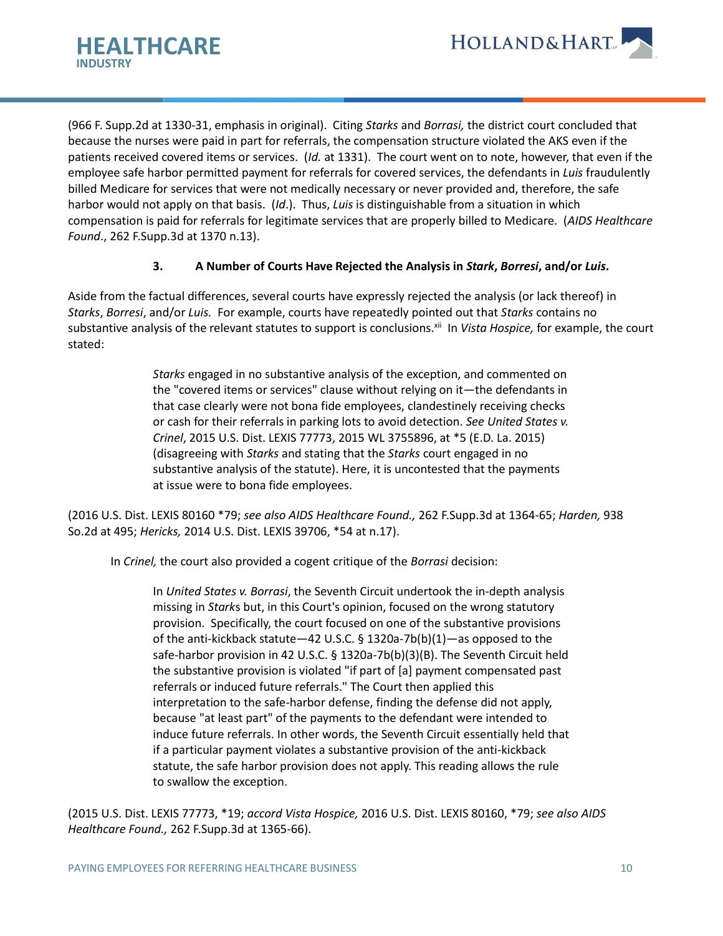

(966 F. Supp.2d at 1330-31, emphasis in original). Citing *Starks* and *Borrasi,* the district court concluded that because the nurses were paid in part for referrals, the compensation structure violated the AKS even if the patients received covered items or services. (*Id.* at 1331). The court went on to note, however, that even if the employee safe harbor permitted payment for referrals for covered services, the defendants in *Luis* fraudulently billed Medicare for services that were not medically necessary or never provided and, therefore, the safe harbor would not apply on that basis. (*Id*.). Thus, *Luis* is distinguishable from a situation in which compensation is paid for referrals for legitimate services that are properly billed to Medicare. (*AIDS Healthcare Found*., 262 F.Supp.3d at 1370 n.13).

### **3. A Number of Courts Have Rejected the Analysis in** *Stark***,** *Borresi***, and/or** *Luis***.**

Aside from the factual differences, several courts have expressly rejected the analysis (or lack thereof) in *Starks*, *Borresi*, and/or *Luis.* For example, courts have repeatedly pointed out that *Starks* contains no substantive analysis of the relevant statutes to support is conclusions.<sup>xii</sup> In *Vista Hospice*, for example, the court stated:

> *Starks* engaged in no substantive analysis of the exception, and commented on the "covered items or services" clause without relying on it—the defendants in that case clearly were not bona fide employees, clandestinely receiving checks or cash for their referrals in parking lots to avoid detection. *See United States v. Crinel*, 2015 U.S. Dist. LEXIS 77773, 2015 WL 3755896, at \*5 (E.D. La. 2015) (disagreeing with *Starks* and stating that the *Starks* court engaged in no substantive analysis of the statute). Here, it is uncontested that the payments at issue were to bona fide employees.

(2016 U.S. Dist. LEXIS 80160 \*79; *see also AIDS Healthcare Found.,* 262 F.Supp.3d at 1364-65; *Harden,* 938 So.2d at 495; *Hericks,* 2014 U.S. Dist. LEXIS 39706, \*54 at n.17).

In *Crinel,* the court also provided a cogent critique of the *Borrasi* decision:

In *United States v. Borrasi*, the Seventh Circuit undertook the in-depth analysis missing in *Stark*s but, in this Court's opinion, focused on the wrong statutory provision. Specifically, the court focused on one of the substantive provisions of the anti-kickback statute—42 U.S.C. § 1320a-7b(b)(1)—as opposed to the safe-harbor provision in 42 U.S.C. § 1320a-7b(b)(3)(B). The Seventh Circuit held the substantive provision is violated "if part of [a] payment compensated past referrals or induced future referrals." The Court then applied this interpretation to the safe-harbor defense, finding the defense did not apply, because "at least part" of the payments to the defendant were intended to induce future referrals. In other words, the Seventh Circuit essentially held that if a particular payment violates a substantive provision of the anti-kickback statute, the safe harbor provision does not apply. This reading allows the rule to swallow the exception.

(2015 U.S. Dist. LEXIS 77773, \*19; *accord Vista Hospice,* 2016 U.S. Dist. LEXIS 80160, \*79; *see also AIDS Healthcare Found.,* 262 F.Supp.3d at 1365-66).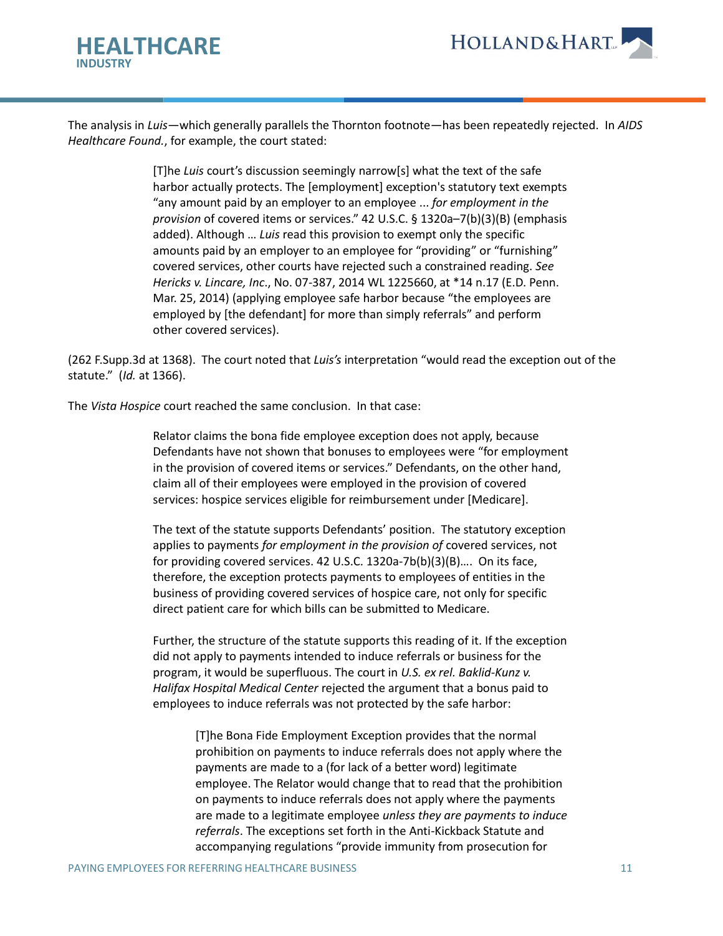

The analysis in *Luis*—which generally parallels the Thornton footnote—has been repeatedly rejected. In *AIDS Healthcare Found.*, for example, the court stated:

> [T]he *Luis* court's discussion seemingly narrow[s] what the text of the safe harbor actually protects. The [employment] exception's statutory text exempts "any amount paid by an employer to an employee ... *for employment in the provision* of covered items or services." 42 U.S.C. § 1320a–7(b)(3)(B) (emphasis added). Although … *Luis* read this provision to exempt only the specific amounts paid by an employer to an employee for "providing" or "furnishing" covered services, other courts have rejected such a constrained reading. *See Hericks v. Lincare, Inc*., No. 07-387, 2014 WL 1225660, at \*14 n.17 (E.D. Penn. Mar. 25, 2014) (applying employee safe harbor because "the employees are employed by [the defendant] for more than simply referrals" and perform other covered services).

(262 F.Supp.3d at 1368). The court noted that *Luis's* interpretation "would read the exception out of the statute." (*Id.* at 1366).

The *Vista Hospice* court reached the same conclusion. In that case:

Relator claims the bona fide employee exception does not apply, because Defendants have not shown that bonuses to employees were "for employment in the provision of covered items or services." Defendants, on the other hand, claim all of their employees were employed in the provision of covered services: hospice services eligible for reimbursement under [Medicare].

The text of the statute supports Defendants' position. The statutory exception applies to payments *for employment in the provision of* covered services, not for providing covered services. 42 U.S.C. 1320a-7b(b)(3)(B)…. On its face, therefore, the exception protects payments to employees of entities in the business of providing covered services of hospice care, not only for specific direct patient care for which bills can be submitted to Medicare.

Further, the structure of the statute supports this reading of it. If the exception did not apply to payments intended to induce referrals or business for the program, it would be superfluous. The court in *U.S. ex rel. Baklid-Kunz v. Halifax Hospital Medical Center* rejected the argument that a bonus paid to employees to induce referrals was not protected by the safe harbor:

> [T]he Bona Fide Employment Exception provides that the normal prohibition on payments to induce referrals does not apply where the payments are made to a (for lack of a better word) legitimate employee. The Relator would change that to read that the prohibition on payments to induce referrals does not apply where the payments are made to a legitimate employee *unless they are payments to induce referrals*. The exceptions set forth in the Anti-Kickback Statute and accompanying regulations "provide immunity from prosecution for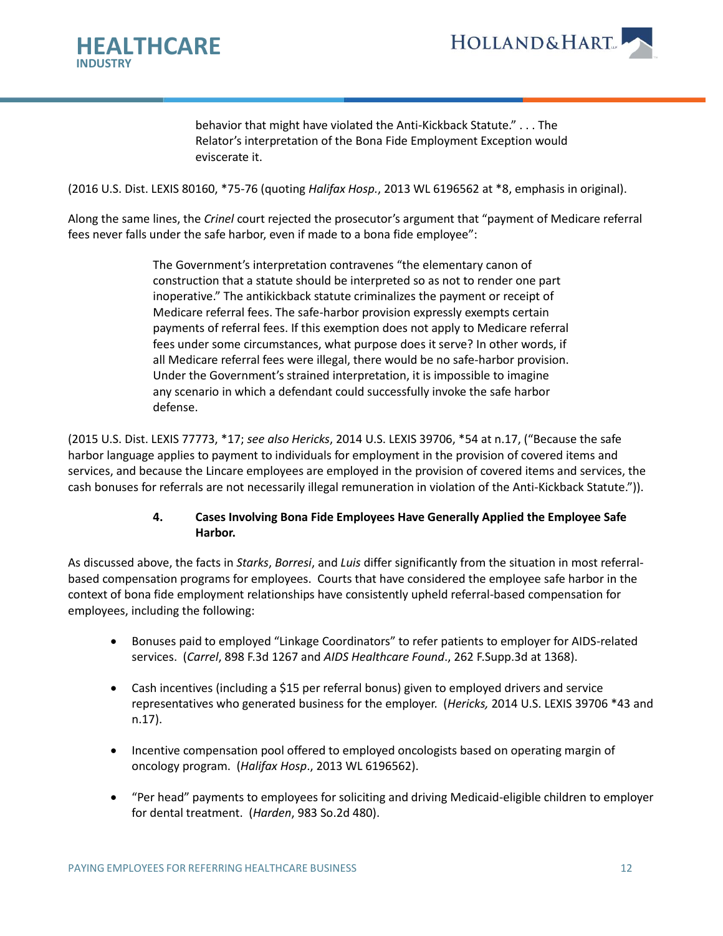

**HOLLAND&HART** 

behavior that might have violated the Anti-Kickback Statute." . . . The Relator's interpretation of the Bona Fide Employment Exception would eviscerate it.

(2016 U.S. Dist. LEXIS 80160, \*75-76 (quoting *Halifax Hosp.*, 2013 WL 6196562 at \*8, emphasis in original).

Along the same lines, the *Crinel* court rejected the prosecutor's argument that "payment of Medicare referral fees never falls under the safe harbor, even if made to a bona fide employee":

> The Government's interpretation contravenes "the elementary canon of construction that a statute should be interpreted so as not to render one part inoperative." The antikickback statute criminalizes the payment or receipt of Medicare referral fees. The safe-harbor provision expressly exempts certain payments of referral fees. If this exemption does not apply to Medicare referral fees under some circumstances, what purpose does it serve? In other words, if all Medicare referral fees were illegal, there would be no safe-harbor provision. Under the Government's strained interpretation, it is impossible to imagine any scenario in which a defendant could successfully invoke the safe harbor defense.

(2015 U.S. Dist. LEXIS 77773, \*17; *see also Hericks*, 2014 U.S. LEXIS 39706, \*54 at n.17, ("Because the safe harbor language applies to payment to individuals for employment in the provision of covered items and services, and because the Lincare employees are employed in the provision of covered items and services, the cash bonuses for referrals are not necessarily illegal remuneration in violation of the Anti-Kickback Statute.")).

### **4. Cases Involving Bona Fide Employees Have Generally Applied the Employee Safe Harbor.**

As discussed above, the facts in *Starks*, *Borresi*, and *Luis* differ significantly from the situation in most referralbased compensation programs for employees. Courts that have considered the employee safe harbor in the context of bona fide employment relationships have consistently upheld referral-based compensation for employees, including the following:

- Bonuses paid to employed "Linkage Coordinators" to refer patients to employer for AIDS-related services. (*Carrel*, 898 F.3d 1267 and *AIDS Healthcare Found*., 262 F.Supp.3d at 1368).
- Cash incentives (including a \$15 per referral bonus) given to employed drivers and service representatives who generated business for the employer. (*Hericks,* 2014 U.S. LEXIS 39706 \*43 and n.17).
- Incentive compensation pool offered to employed oncologists based on operating margin of oncology program. (*Halifax Hosp*., 2013 WL 6196562).
- "Per head" payments to employees for soliciting and driving Medicaid-eligible children to employer for dental treatment. (*Harden*, 983 So.2d 480).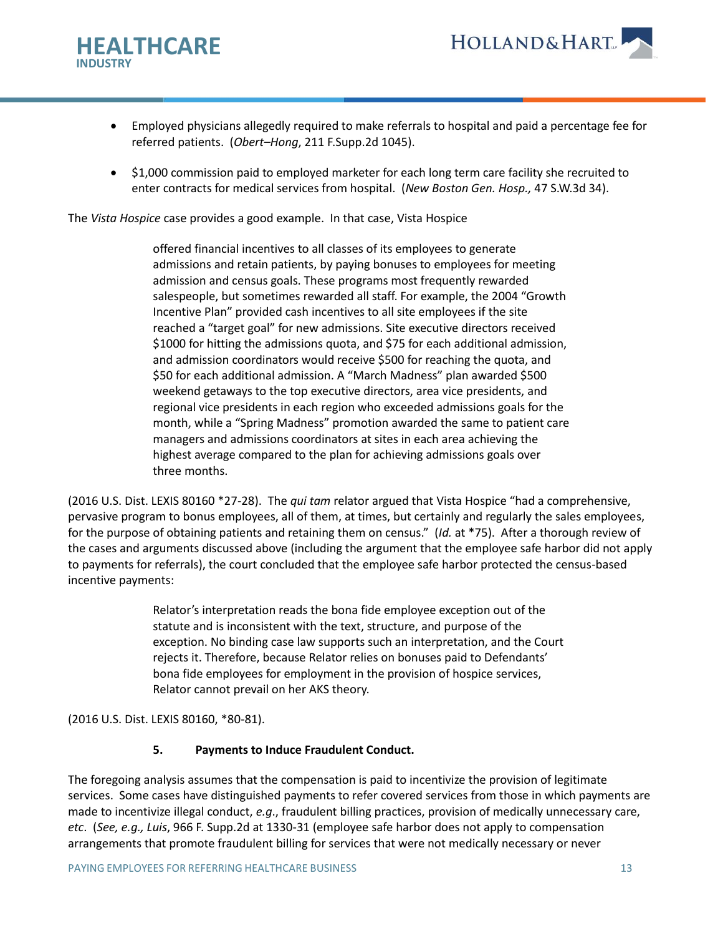

- Employed physicians allegedly required to make referrals to hospital and paid a percentage fee for referred patients. (*Obert–Hong*, 211 F.Supp.2d 1045).
- \$1,000 commission paid to employed marketer for each long term care facility she recruited to enter contracts for medical services from hospital. (*New Boston Gen. Hosp.,* 47 S.W.3d 34).

The *Vista Hospice* case provides a good example. In that case, Vista Hospice

offered financial incentives to all classes of its employees to generate admissions and retain patients, by paying bonuses to employees for meeting admission and census goals. These programs most frequently rewarded salespeople, but sometimes rewarded all staff. For example, the 2004 "Growth Incentive Plan" provided cash incentives to all site employees if the site reached a "target goal" for new admissions. Site executive directors received \$1000 for hitting the admissions quota, and \$75 for each additional admission, and admission coordinators would receive \$500 for reaching the quota, and \$50 for each additional admission. A "March Madness" plan awarded \$500 weekend getaways to the top executive directors, area vice presidents, and regional vice presidents in each region who exceeded admissions goals for the month, while a "Spring Madness" promotion awarded the same to patient care managers and admissions coordinators at sites in each area achieving the highest average compared to the plan for achieving admissions goals over three months.

(2016 U.S. Dist. LEXIS 80160 \*27-28). The *qui tam* relator argued that Vista Hospice "had a comprehensive, pervasive program to bonus employees, all of them, at times, but certainly and regularly the sales employees, for the purpose of obtaining patients and retaining them on census." (*Id.* at \*75). After a thorough review of the cases and arguments discussed above (including the argument that the employee safe harbor did not apply to payments for referrals), the court concluded that the employee safe harbor protected the census-based incentive payments:

> Relator's interpretation reads the bona fide employee exception out of the statute and is inconsistent with the text, structure, and purpose of the exception. No binding case law supports such an interpretation, and the Court rejects it. Therefore, because Relator relies on bonuses paid to Defendants' bona fide employees for employment in the provision of hospice services, Relator cannot prevail on her AKS theory.

(2016 U.S. Dist. LEXIS 80160, \*80-81).

# **5. Payments to Induce Fraudulent Conduct.**

The foregoing analysis assumes that the compensation is paid to incentivize the provision of legitimate services. Some cases have distinguished payments to refer covered services from those in which payments are made to incentivize illegal conduct, *e.g*., fraudulent billing practices, provision of medically unnecessary care, *etc*. (*See, e.g., Luis*, 966 F. Supp.2d at 1330-31 (employee safe harbor does not apply to compensation arrangements that promote fraudulent billing for services that were not medically necessary or never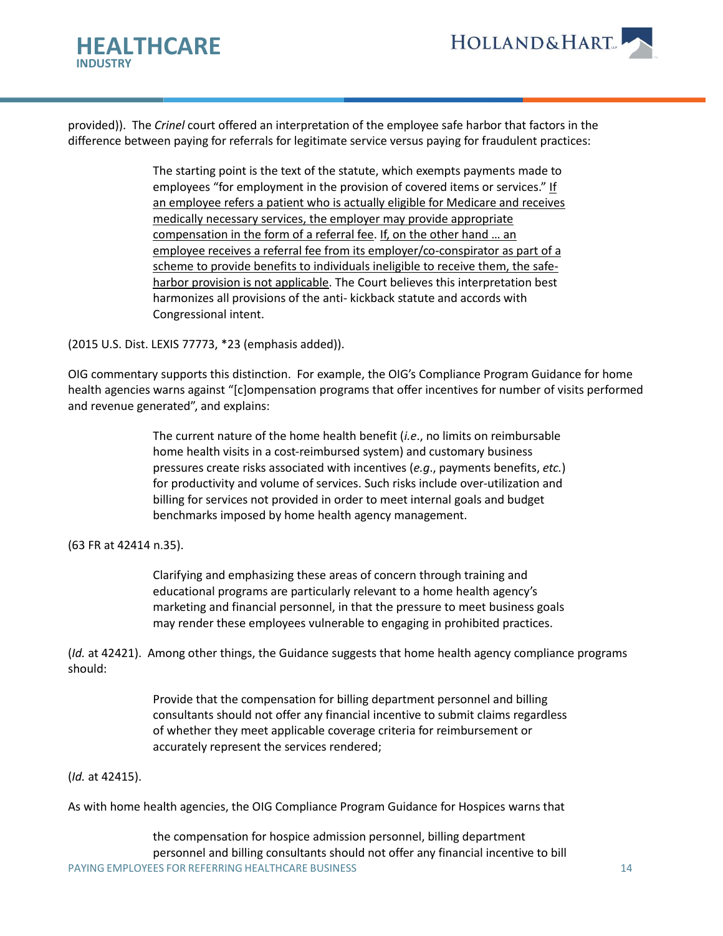

provided)). The *Crinel* court offered an interpretation of the employee safe harbor that factors in the difference between paying for referrals for legitimate service versus paying for fraudulent practices:

> The starting point is the text of the statute, which exempts payments made to employees "for employment in the provision of covered items or services." If an employee refers a patient who is actually eligible for Medicare and receives medically necessary services, the employer may provide appropriate compensation in the form of a referral fee. If, on the other hand … an employee receives a referral fee from its employer/co-conspirator as part of a scheme to provide benefits to individuals ineligible to receive them, the safeharbor provision is not applicable. The Court believes this interpretation best harmonizes all provisions of the anti- kickback statute and accords with Congressional intent.

(2015 U.S. Dist. LEXIS 77773, \*23 (emphasis added)).

OIG commentary supports this distinction. For example, the OIG's Compliance Program Guidance for home health agencies warns against "[c]ompensation programs that offer incentives for number of visits performed and revenue generated", and explains:

> The current nature of the home health benefit (*i.e*., no limits on reimbursable home health visits in a cost-reimbursed system) and customary business pressures create risks associated with incentives (*e.g*., payments benefits, *etc.*) for productivity and volume of services. Such risks include over-utilization and billing for services not provided in order to meet internal goals and budget benchmarks imposed by home health agency management.

(63 FR at 42414 n.35).

Clarifying and emphasizing these areas of concern through training and educational programs are particularly relevant to a home health agency's marketing and financial personnel, in that the pressure to meet business goals may render these employees vulnerable to engaging in prohibited practices.

(*Id.* at 42421). Among other things, the Guidance suggests that home health agency compliance programs should:

> Provide that the compensation for billing department personnel and billing consultants should not offer any financial incentive to submit claims regardless of whether they meet applicable coverage criteria for reimbursement or accurately represent the services rendered;

### (*Id.* at 42415).

As with home health agencies, the OIG Compliance Program Guidance for Hospices warns that

PAYING EMPLOYEES FOR REFERRING HEALTHCARE BUSINESS 14 the compensation for hospice admission personnel, billing department personnel and billing consultants should not offer any financial incentive to bill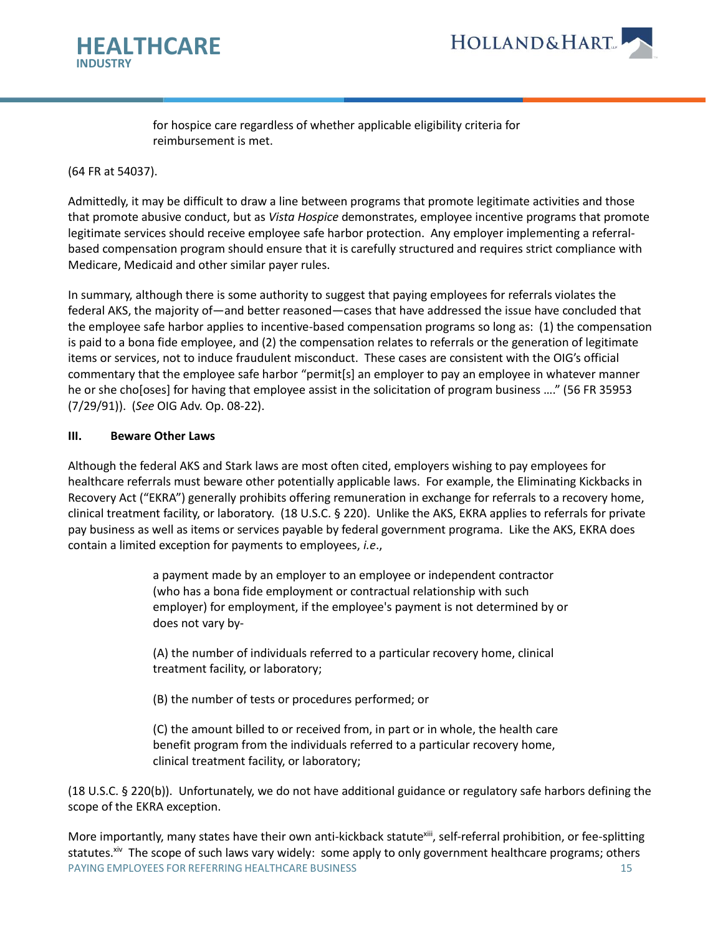

for hospice care regardless of whether applicable eligibility criteria for reimbursement is met.

(64 FR at 54037).

Admittedly, it may be difficult to draw a line between programs that promote legitimate activities and those that promote abusive conduct, but as *Vista Hospice* demonstrates, employee incentive programs that promote legitimate services should receive employee safe harbor protection. Any employer implementing a referralbased compensation program should ensure that it is carefully structured and requires strict compliance with Medicare, Medicaid and other similar payer rules.

In summary, although there is some authority to suggest that paying employees for referrals violates the federal AKS, the majority of—and better reasoned—cases that have addressed the issue have concluded that the employee safe harbor applies to incentive-based compensation programs so long as: (1) the compensation is paid to a bona fide employee, and (2) the compensation relates to referrals or the generation of legitimate items or services, not to induce fraudulent misconduct. These cases are consistent with the OIG's official commentary that the employee safe harbor "permit[s] an employer to pay an employee in whatever manner he or she cho[oses] for having that employee assist in the solicitation of program business …." (56 FR 35953 (7/29/91)). (*See* OIG Adv. Op. 08-22).

#### **III. Beware Other Laws**

Although the federal AKS and Stark laws are most often cited, employers wishing to pay employees for healthcare referrals must beware other potentially applicable laws. For example, the Eliminating Kickbacks in Recovery Act ("EKRA") generally prohibits offering remuneration in exchange for referrals to a recovery home, clinical treatment facility, or laboratory. (18 U.S.C. § 220). Unlike the AKS, EKRA applies to referrals for private pay business as well as items or services payable by federal government programa. Like the AKS, EKRA does contain a limited exception for payments to employees, *i.e*.,

> a payment made by an employer to an employee or independent contractor (who has a bona fide employment or contractual relationship with such employer) for employment, if the employee's payment is not determined by or does not vary by-

(A) the number of individuals referred to a particular recovery home, clinical treatment facility, or laboratory;

(B) the number of tests or procedures performed; or

(C) the amount billed to or received from, in part or in whole, the health care benefit program from the individuals referred to a particular recovery home, clinical treatment facility, or laboratory;

(18 U.S.C. § 220(b)). Unfortunately, we do not have additional guidance or regulatory safe harbors defining the scope of the EKRA exception.

PAYING EMPLOYEES FOR REFERRING HEALTHCARE BUSINESS 15 15 More importantly, many states have their own anti-kickback statute<sup>xiii</sup>, self-referral prohibition, or fee-splitting statutes.<sup>xiv</sup> The scope of such laws vary widely: some apply to only government healthcare programs; others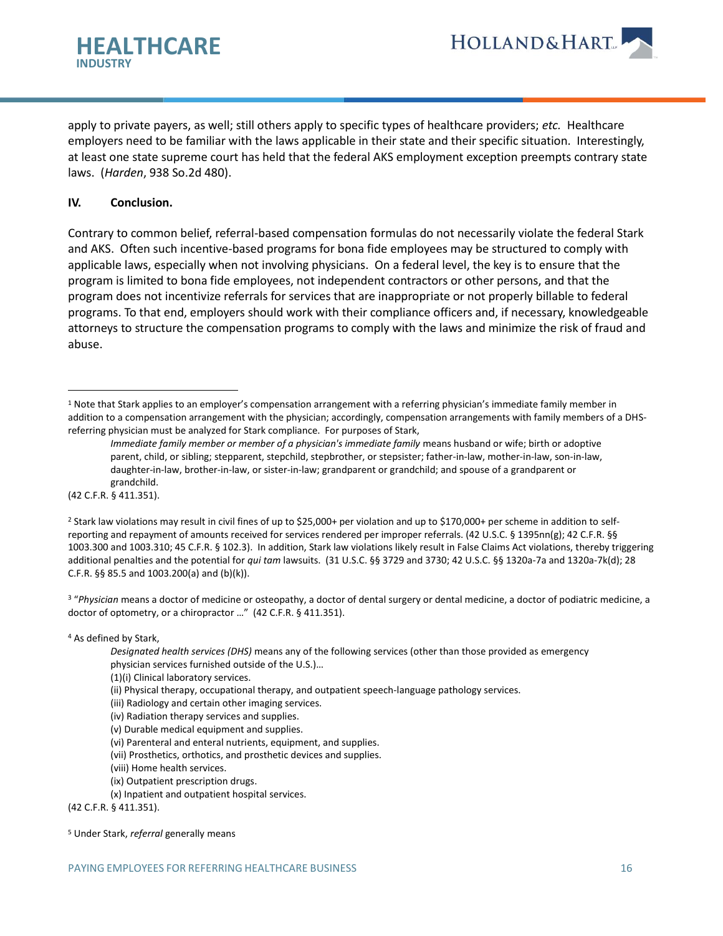

apply to private payers, as well; still others apply to specific types of healthcare providers; *etc.* Healthcare employers need to be familiar with the laws applicable in their state and their specific situation. Interestingly, at least one state supreme court has held that the federal AKS employment exception preempts contrary state laws. (*Harden*, 938 So.2d 480).

### **IV. Conclusion.**

Contrary to common belief, referral-based compensation formulas do not necessarily violate the federal Stark and AKS. Often such incentive-based programs for bona fide employees may be structured to comply with applicable laws, especially when not involving physicians. On a federal level, the key is to ensure that the program is limited to bona fide employees, not independent contractors or other persons, and that the program does not incentivize referrals for services that are inappropriate or not properly billable to federal programs. To that end, employers should work with their compliance officers and, if necessary, knowledgeable attorneys to structure the compensation programs to comply with the laws and minimize the risk of fraud and abuse.

(42 C.F.R. § 411.351).

<sup>2</sup> Stark law violations may result in civil fines of up to \$25,000+ per violation and up to \$170,000+ per scheme in addition to selfreporting and repayment of amounts received for services rendered per improper referrals. (42 U.S.C. § 1395nn(g); 42 C.F.R. §§ 1003.300 and 1003.310; 45 C.F.R. § 102.3). In addition, Stark law violations likely result in False Claims Act violations, thereby triggering additional penalties and the potential for *qui tam* lawsuits. (31 U.S.C. §§ 3729 and 3730; 42 U.S.C. §§ 1320a-7a and 1320a-7k(d); 28 C.F.R. §§ 85.5 and 1003.200(a) and (b)(k)).

<sup>3</sup> "*Physician* means a doctor of medicine or osteopathy, a doctor of dental surgery or dental medicine, a doctor of podiatric medicine, a doctor of optometry, or a chiropractor …" (42 C.F.R. § 411.351).

<sup>4</sup> As defined by Stark,

- (iii) Radiology and certain other imaging services.
- (iv) Radiation therapy services and supplies.
- (v) Durable medical equipment and supplies.
- (vi) Parenteral and enteral nutrients, equipment, and supplies.
- (vii) Prosthetics, orthotics, and prosthetic devices and supplies.
- (viii) Home health services.
- (ix) Outpatient prescription drugs.
- (x) Inpatient and outpatient hospital services.

(42 C.F.R. § 411.351).

<sup>&</sup>lt;sup>1</sup> Note that Stark applies to an employer's compensation arrangement with a referring physician's immediate family member in addition to a compensation arrangement with the physician; accordingly, compensation arrangements with family members of a DHSreferring physician must be analyzed for Stark compliance. For purposes of Stark,

*Immediate family member or member of a physician's immediate family* means husband or wife; birth or adoptive parent, child, or sibling; stepparent, stepchild, stepbrother, or stepsister; father-in-law, mother-in-law, son-in-law, daughter-in-law, brother-in-law, or sister-in-law; grandparent or grandchild; and spouse of a grandparent or grandchild.

*Designated health services (DHS)* means any of the following services (other than those provided as emergency physician services furnished outside of the U.S.)…

<sup>(1)(</sup>i) Clinical laboratory services.

<sup>(</sup>ii) Physical therapy, occupational therapy, and outpatient speech-language pathology services.

<sup>5</sup> Under Stark, *referral* generally means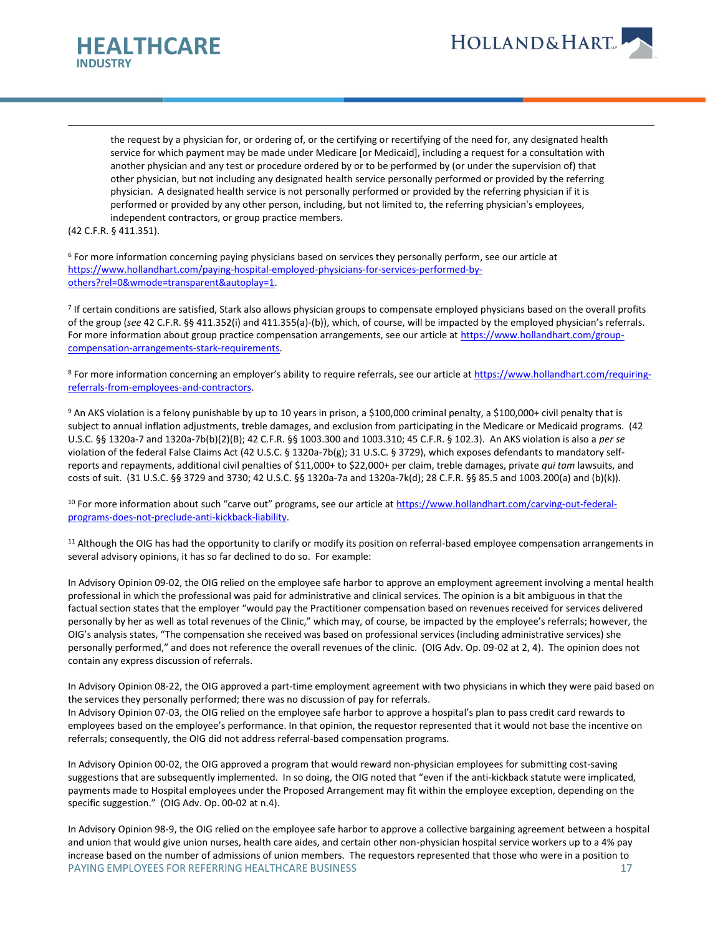



the request by a physician for, or ordering of, or the certifying or recertifying of the need for, any designated health service for which payment may be made under Medicare [or Medicaid], including a request for a consultation with another physician and any test or procedure ordered by or to be performed by (or under the supervision of) that other physician, but not including any designated health service personally performed or provided by the referring physician. A designated health service is not personally performed or provided by the referring physician if it is performed or provided by any other person, including, but not limited to, the referring physician's employees, independent contractors, or group practice members.

(42 C.F.R. § 411.351).

<sup>6</sup> For more information concerning paying physicians based on services they personally perform, see our article at [https://www.hollandhart.com/paying-hospital-employed-physicians-for-services-performed-by](https://www.hollandhart.com/paying-hospital-employed-physicians-for-services-performed-by-others?rel=0&wmode=transparent&autoplay=1)[others?rel=0&wmode=transparent&autoplay=1.](https://www.hollandhart.com/paying-hospital-employed-physicians-for-services-performed-by-others?rel=0&wmode=transparent&autoplay=1)

<sup>7</sup> If certain conditions are satisfied, Stark also allows physician groups to compensate employed physicians based on the overall profits of the group (*see* 42 C.F.R. §§ 411.352(i) and 411.355(a)-(b)), which, of course, will be impacted by the employed physician's referrals. For more information about group practice compensation arrangements, see our article a[t https://www.hollandhart.com/group](https://www.hollandhart.com/group-compensation-arrangements-stark-requirements)[compensation-arrangements-stark-requirements.](https://www.hollandhart.com/group-compensation-arrangements-stark-requirements)

<sup>8</sup> For more information concerning an employer's ability to require referrals, see our article at [https://www.hollandhart.com/requiring](https://www.hollandhart.com/requiring-referrals-from-employees-and-contractors)[referrals-from-employees-and-contractors.](https://www.hollandhart.com/requiring-referrals-from-employees-and-contractors)

9 An AKS violation is a felony punishable by up to 10 years in prison, a \$100,000 criminal penalty, a \$100,000+ civil penalty that is subject to annual inflation adjustments, treble damages, and exclusion from participating in the Medicare or Medicaid programs. (42 U.S.C. §§ 1320a-7 and 1320a-7b(b)(2)(B); 42 C.F.R. §§ 1003.300 and 1003.310; 45 C.F.R. § 102.3). An AKS violation is also a *per se* violation of the federal False Claims Act (42 U.S.C. § 1320a-7b(g); 31 U.S.C. § 3729), which exposes defendants to mandatory selfreports and repayments, additional civil penalties of \$11,000+ to \$22,000+ per claim, treble damages, private *qui tam* lawsuits, and costs of suit. (31 U.S.C. §§ 3729 and 3730; 42 U.S.C. §§ 1320a-7a and 1320a-7k(d); 28 C.F.R. §§ 85.5 and 1003.200(a) and (b)(k)).

<sup>10</sup> For more information about such "carve out" programs, see our article at [https://www.hollandhart.com/carving-out-federal](https://www.hollandhart.com/carving-out-federal-programs-does-not-preclude-anti-kickback-liability)[programs-does-not-preclude-anti-kickback-liability.](https://www.hollandhart.com/carving-out-federal-programs-does-not-preclude-anti-kickback-liability)

<sup>11</sup> Although the OIG has had the opportunity to clarify or modify its position on referral-based employee compensation arrangements in several advisory opinions, it has so far declined to do so. For example:

In Advisory Opinion 09-02, the OIG relied on the employee safe harbor to approve an employment agreement involving a mental health professional in which the professional was paid for administrative and clinical services. The opinion is a bit ambiguous in that the factual section states that the employer "would pay the Practitioner compensation based on revenues received for services delivered personally by her as well as total revenues of the Clinic," which may, of course, be impacted by the employee's referrals; however, the OIG's analysis states, "The compensation she received was based on professional services (including administrative services) she personally performed," and does not reference the overall revenues of the clinic. (OIG Adv. Op. 09-02 at 2, 4). The opinion does not contain any express discussion of referrals.

In Advisory Opinion 08-22, the OIG approved a part-time employment agreement with two physicians in which they were paid based on the services they personally performed; there was no discussion of pay for referrals.

In Advisory Opinion 07-03, the OIG relied on the employee safe harbor to approve a hospital's plan to pass credit card rewards to employees based on the employee's performance. In that opinion, the requestor represented that it would not base the incentive on referrals; consequently, the OIG did not address referral-based compensation programs.

In Advisory Opinion 00-02, the OIG approved a program that would reward non-physician employees for submitting cost-saving suggestions that are subsequently implemented. In so doing, the OIG noted that "even if the anti-kickback statute were implicated, payments made to Hospital employees under the Proposed Arrangement may fit within the employee exception, depending on the specific suggestion." (OIG Adv. Op. 00-02 at n.4).

PAYING EMPLOYEES FOR REFERRING HEALTHCARE BUSINESS 17 17 In Advisory Opinion 98-9, the OIG relied on the employee safe harbor to approve a collective bargaining agreement between a hospital and union that would give union nurses, health care aides, and certain other non-physician hospital service workers up to a 4% pay increase based on the number of admissions of union members. The requestors represented that those who were in a position to